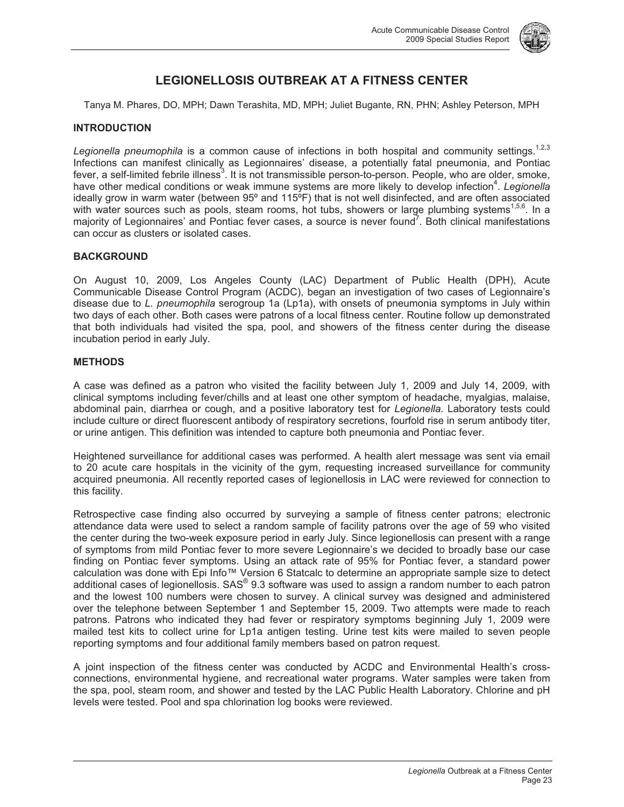

# **LEGIONELLOSIS OUTBREAK AT A FITNESS CENTER**

Tanya M. Phares, DO, MPH; Dawn Terashita, MD, MPH; Juliet Bugante, RN, PHN; Ashley Peterson, MPH

## **INTRODUCTION**

Legionella pneumophila is a common cause of infections in both hospital and community settings.<sup>1,2,3</sup> Infections can manifest clinically as Legionnaires' disease, a potentially fatal pneumonia, and Pontiac fever, a self-limited febrile illness<sup>3</sup>. It is not transmissible person-to-person. People, who are older, smoke, have other medical conditions or weak immune systems are more likely to develop infection<sup>4</sup>. Legionella ideally grow in warm water (between 95° and 115°F) that is not well disinfected, and are often associated with water sources such as pools, steam rooms, hot tubs, showers or large plumbing systems<sup>1,5,6</sup>. In a majority of Legionnaires' and Pontiac fever cases, a source is never found<sup>7</sup>. Both clinical manifestations can occur as clusters or isolated cases.

## **BACKGROUND**

On August 10, 2009, Los Angeles County (LAC) Department of Public Health (DPH), Acute Communicable Disease Control Program (ACDC), began an investigation of two cases of Legionnaire's disease due to *L. pneumophila* serogroup 1a (Lp1a), with onsets of pneumonia symptoms in July within two days of each other. Both cases were patrons of a local fitness center. Routine follow up demonstrated that both individuals had visited the spa, pool, and showers of the fitness center during the disease incubation period in early July.

#### **METHODS**

A case was defined as a patron who visited the facility between July 1, 2009 and July 14, 2009, with clinical symptoms including fever/chills and at least one other symptom of headache, myalgias, malaise, abdominal pain, diarrhea or cough, and a positive laboratory test for *Legionella.* Laboratory tests could include culture or direct fluorescent antibody of respiratory secretions, fourfold rise in serum antibody titer, or urine antigen. This definition was intended to capture both pneumonia and Pontiac fever.

Heightened surveillance for additional cases was performed. A health alert message was sent via email to 20 acute care hospitals in the vicinity of the gym, requesting increased surveillance for community acquired pneumonia. All recently reported cases of legionellosis in LAC were reviewed for connection to this facility.

Retrospective case finding also occurred by surveying a sample of fitness center patrons; electronic attendance data were used to select a random sample of facility patrons over the age of 59 who visited the center during the two-week exposure period in early July. Since legionellosis can present with a range of symptoms from mild Pontiac fever to more severe Legionnaire's we decided to broadly base our case finding on Pontiac fever symptoms. Using an attack rate of 95% for Pontiac fever, a standard power calculation was done with Epi Info™ Version 6 Statcalc to determine an appropriate sample size to detect additional cases of legionellosis. SAS® 9.3 software was used to assign a random number to each patron and the lowest 100 numbers were chosen to survey. A clinical survey was designed and administered over the telephone between September 1 and September 15, 2009. Two attempts were made to reach patrons. Patrons who indicated they had fever or respiratory symptoms beginning July 1, 2009 were mailed test kits to collect urine for Lp1a antigen testing. Urine test kits were mailed to seven people reporting symptoms and four additional family members based on patron request.

A joint inspection of the fitness center was conducted by ACDC and Environmental Health's crossconnections, environmental hygiene, and recreational water programs. Water samples were taken from the spa, pool, steam room, and shower and tested by the LAC Public Health Laboratory. Chlorine and pH levels were tested. Pool and spa chlorination log books were reviewed.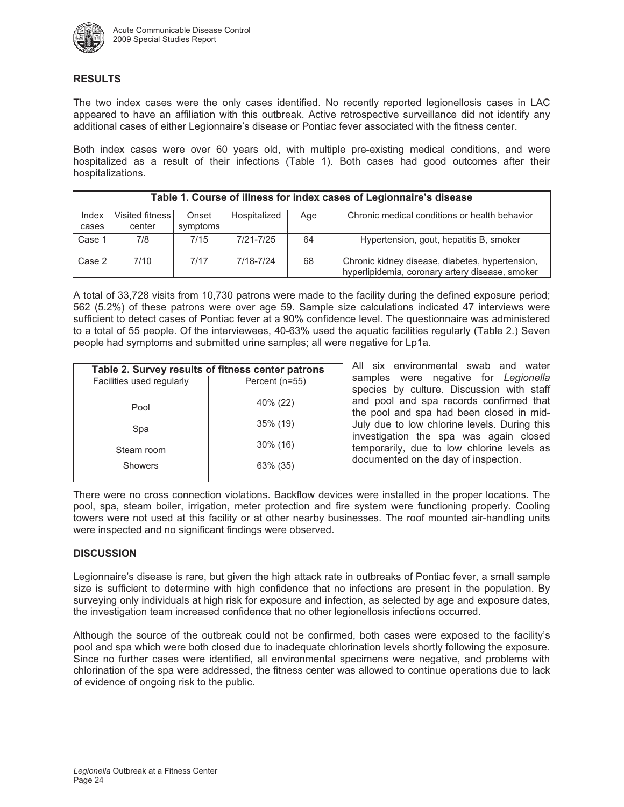

#### **RESULTS**

The two index cases were the only cases identified. No recently reported legionellosis cases in LAC appeared to have an affiliation with this outbreak. Active retrospective surveillance did not identify any additional cases of either Legionnaire's disease or Pontiac fever associated with the fitness center.

Both index cases were over 60 years old, with multiple pre-existing medical conditions, and were hospitalized as a result of their infections (Table 1). Both cases had good outcomes after their hospitalizations.

| Table 1. Course of illness for index cases of Legionnaire's disease |                           |                   |              |     |                                                                                                    |  |
|---------------------------------------------------------------------|---------------------------|-------------------|--------------|-----|----------------------------------------------------------------------------------------------------|--|
| Index<br>cases                                                      | Visited fitness<br>center | Onset<br>symptoms | Hospitalized | Age | Chronic medical conditions or health behavior                                                      |  |
| Case 1                                                              | 7/8                       | 7/15              | 7/21-7/25    | 64  | Hypertension, gout, hepatitis B, smoker                                                            |  |
| Case 2                                                              | 7/10                      | 7/17              | 7/18-7/24    | 68  | Chronic kidney disease, diabetes, hypertension,<br>hyperlipidemia, coronary artery disease, smoker |  |

A total of 33,728 visits from 10,730 patrons were made to the facility during the defined exposure period; 562 (5.2%) of these patrons were over age 59. Sample size calculations indicated 47 interviews were sufficient to detect cases of Pontiac fever at a 90% confidence level. The questionnaire was administered to a total of 55 people. Of the interviewees, 40-63% used the aquatic facilities regularly (Table 2.) Seven people had symptoms and submitted urine samples; all were negative for Lp1a.

| Table 2. Survey results of fitness center patrons |                |  |  |  |  |
|---------------------------------------------------|----------------|--|--|--|--|
| Facilities used regularly                         | Percent (n=55) |  |  |  |  |
| Pool                                              | 40% (22)       |  |  |  |  |
| Spa                                               | $35\%$ (19)    |  |  |  |  |
| Steam room                                        | $30\%$ (16)    |  |  |  |  |
| Showers                                           | 63% (35)       |  |  |  |  |
|                                                   |                |  |  |  |  |

All six environmental swab and water samples were negative for *Legionella* species by culture. Discussion with staff and pool and spa records confirmed that the pool and spa had been closed in mid-July due to low chlorine levels. During this investigation the spa was again closed temporarily, due to low chlorine levels as documented on the day of inspection.

There were no cross connection violations. Backflow devices were installed in the proper locations. The pool, spa, steam boiler, irrigation, meter protection and fire system were functioning properly. Cooling towers were not used at this facility or at other nearby businesses. The roof mounted air-handling units were inspected and no significant findings were observed.

#### **DISCUSSION**

Legionnaire's disease is rare, but given the high attack rate in outbreaks of Pontiac fever, a small sample size is sufficient to determine with high confidence that no infections are present in the population. By surveying only individuals at high risk for exposure and infection, as selected by age and exposure dates, the investigation team increased confidence that no other legionellosis infections occurred.

Although the source of the outbreak could not be confirmed, both cases were exposed to the facility's pool and spa which were both closed due to inadequate chlorination levels shortly following the exposure. Since no further cases were identified, all environmental specimens were negative, and problems with chlorination of the spa were addressed, the fitness center was allowed to continue operations due to lack of evidence of ongoing risk to the public.